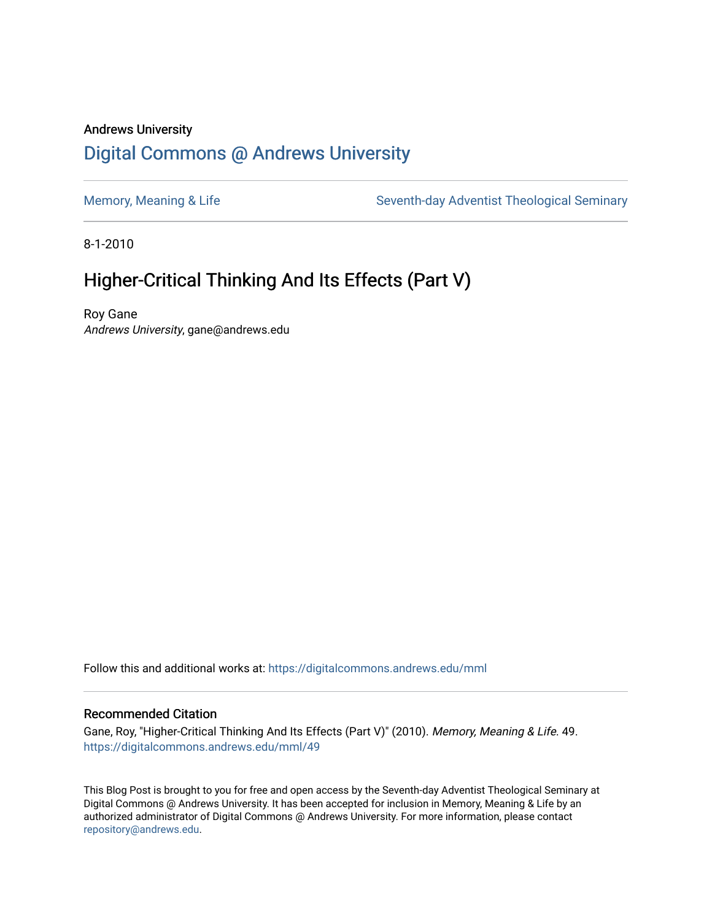# Andrews University [Digital Commons @ Andrews University](https://digitalcommons.andrews.edu/)

[Memory, Meaning & Life](https://digitalcommons.andrews.edu/mml) Seventh-day Adventist Theological Seminary

8-1-2010

# Higher-Critical Thinking And Its Effects (Part V)

Roy Gane Andrews University, gane@andrews.edu

Follow this and additional works at: [https://digitalcommons.andrews.edu/mml](https://digitalcommons.andrews.edu/mml?utm_source=digitalcommons.andrews.edu%2Fmml%2F49&utm_medium=PDF&utm_campaign=PDFCoverPages) 

#### Recommended Citation

Gane, Roy, "Higher-Critical Thinking And Its Effects (Part V)" (2010). Memory, Meaning & Life. 49. [https://digitalcommons.andrews.edu/mml/49](https://digitalcommons.andrews.edu/mml/49?utm_source=digitalcommons.andrews.edu%2Fmml%2F49&utm_medium=PDF&utm_campaign=PDFCoverPages)

This Blog Post is brought to you for free and open access by the Seventh-day Adventist Theological Seminary at Digital Commons @ Andrews University. It has been accepted for inclusion in Memory, Meaning & Life by an authorized administrator of Digital Commons @ Andrews University. For more information, please contact [repository@andrews.edu](mailto:repository@andrews.edu).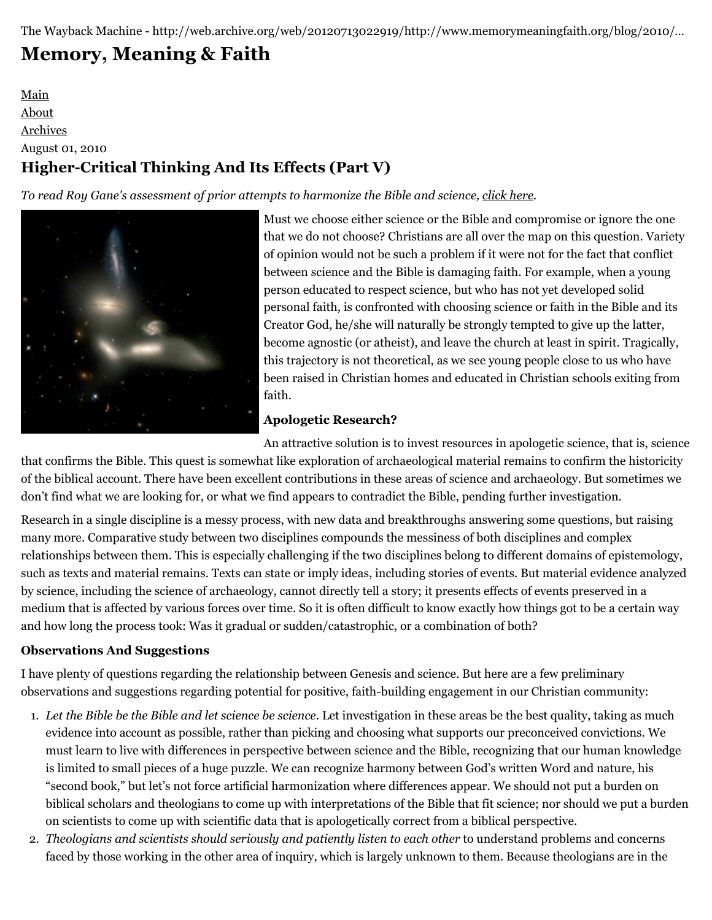# **[Memory, Meaning & Faith](http://web.archive.org/web/20120713022919/http://www.memorymeaningfaith.org/blog/)**

# [Main](http://web.archive.org/web/20120713022919/http://www.memorymeaningfaith.org/blog) [About](http://web.archive.org/web/20120713022919/http://www.memorymeaningfaith.org/blog/about.html) [Archives](http://web.archive.org/web/20120713022919/http://www.memorymeaningfaith.org/blog/archives.html) August 01, 2010 **Higher-Critical Thinking And Its Effects (Part V)**

*To read Roy Gane's assessment of prior attempts to harmonize the Bible and science, [click here.](http://web.archive.org/web/20120713022919/http://www.memorymeaningfaith.org/blog/2010/07/highercritical-thinking-part-iv.html)*



[M](http://web.archive.org/web/20120713022919/http://en.wikipedia.org/wiki/Seyfert%27s_Sextet)ust we choose either science or the Bible and compromise or ignore the one that we do not choose? Christians are all over the map on this question. Variety of opinion would not be such a problem if it were not for the fact that conflict between science and the Bible is damaging faith. For example, when a young person educated to respect science, but who has not yet developed solid personal faith, is confronted with choosing science or faith in the Bible and its Creator God, he/she will naturally be strongly tempted to give up the latter, become agnostic (or atheist), and leave the church at least in spirit. Tragically, this trajectory is not theoretical, as we see young people close to us who have been raised in Christian homes and educated in Christian schools exiting from faith.

# **Apologetic Research?**

An attractive solution is to invest resources in apologetic science, that is, science that confirms the Bible. This quest is somewhat like exploration of archaeological material remains to confirm the historicity of the biblical account. There have been excellent contributions in these areas of science and archaeology. But sometimes we don't find what we are looking for, or what we find appears to contradict the Bible, pending further investigation.

Research in a single discipline is a messy process, with new data and breakthroughs answering some questions, but raising many more. Comparative study between two disciplines compounds the messiness of both disciplines and complex relationships between them. This is especially challenging if the two disciplines belong to different domains of epistemology, such as texts and material remains. Texts can state or imply ideas, including stories of events. But material evidence analyzed by science, including the science of archaeology, cannot directly tell a story; it presents effects of events preserved in a medium that is affected by various forces over time. So it is often difficult to know exactly how things got to be a certain way and how long the process took: Was it gradual or sudden/catastrophic, or a combination of both?

## **Observations And Suggestions**

I have plenty of questions regarding the relationship between Genesis and science. But here are a few preliminary observations and suggestions regarding potential for positive, faith-building engagement in our Christian community:

- 1. *Let the Bible be the Bible and let science be science.* Let investigation in these areas be the best quality, taking as much evidence into account as possible, rather than picking and choosing what supports our preconceived convictions. We must learn to live with differences in perspective between science and the Bible, recognizing that our human knowledge is limited to small pieces of a huge puzzle. We can recognize harmony between God's written Word and nature, his "second book," but let's not force artificial harmonization where differences appear. We should not put a burden on biblical scholars and theologians to come up with interpretations of the Bible that fit science; nor should we put a burden on scientists to come up with scientific data that is apologetically correct from a biblical perspective.
- 2. *Theologians and scientists should seriously and patiently listen to each other* to understand problems and concerns faced by those working in the other area of inquiry, which is largely unknown to them. Because theologians are in the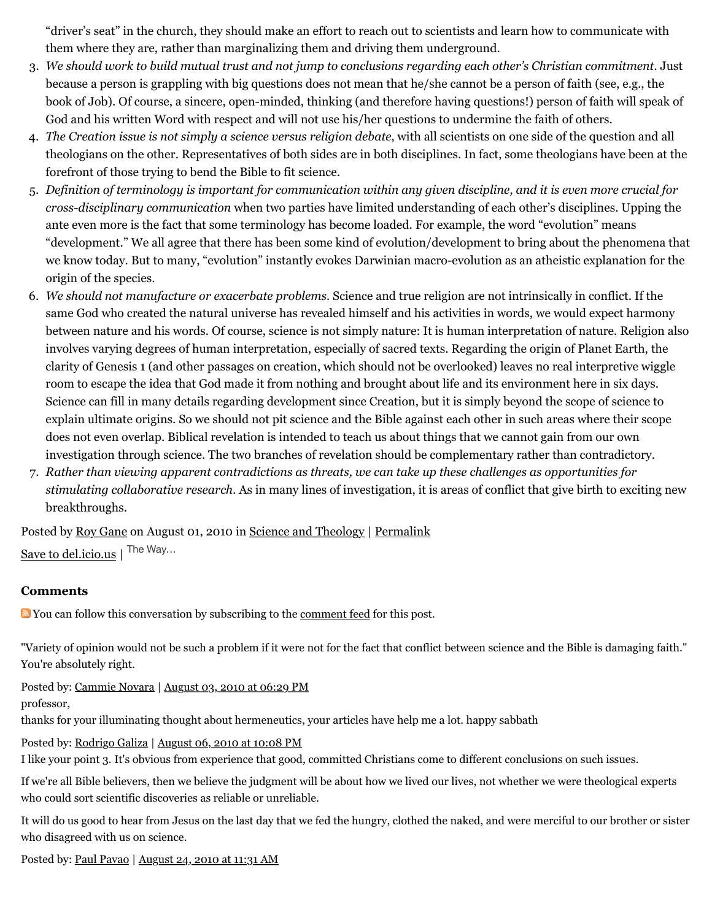"driver's seat" in the church, they should make an effort to reach out to scientists and learn how to communicate with them where they are, rather than marginalizing them and driving them underground.

- 3. *We should work to build mutual trust and not jump to conclusions regarding each other's Christian commitment.* Just because a person is grappling with big questions does not mean that he/she cannot be a person of faith (see, e.g., the book of Job). Of course, a sincere, open-minded, thinking (and therefore having questions!) person of faith will speak of God and his written Word with respect and will not use his/her questions to undermine the faith of others.
- 4. *The Creation issue is not simply a science versus religion debate*, with all scientists on one side of the question and all theologians on the other. Representatives of both sides are in both disciplines. In fact, some theologians have been at the forefront of those trying to bend the Bible to fit science.
- 5. *Definition of terminology is important for communication within any given discipline, and it is even more crucial for cross-disciplinary communication* when two parties have limited understanding of each other's disciplines. Upping the ante even more is the fact that some terminology has become loaded. For example, the word "evolution" means "development." We all agree that there has been some kind of evolution/development to bring about the phenomena that we know today. But to many, "evolution" instantly evokes Darwinian macro-evolution as an atheistic explanation for the origin of the species.
- 6. *We should not manufacture or exacerbate problems.* Science and true religion are not intrinsically in conflict. If the same God who created the natural universe has revealed himself and his activities in words, we would expect harmony between nature and his words. Of course, science is not simply nature: It is human interpretation of nature. Religion also involves varying degrees of human interpretation, especially of sacred texts. Regarding the origin of Planet Earth, the clarity of Genesis 1 (and other passages on creation, which should not be overlooked) leaves no real interpretive wiggle room to escape the idea that God made it from nothing and brought about life and its environment here in six days. Science can fill in many details regarding development since Creation, but it is simply beyond the scope of science to explain ultimate origins. So we should not pit science and the Bible against each other in such areas where their scope does not even overlap. Biblical revelation is intended to teach us about things that we cannot gain from our own investigation through science. The two branches of revelation should be complementary rather than contradictory.
- 7. *Rather than viewing apparent contradictions as threats, we can take up these challenges as opportunities for stimulating collaborative research.* As in many lines of investigation, it is areas of conflict that give birth to exciting new breakthroughs.

Posted by [Roy Gane](http://web.archive.org/web/20120713022919/http://profile.typepad.com/rgane) on August 01, 2010 in [Science and Theology](http://web.archive.org/web/20120713022919/http://www.memorymeaningfaith.org/blog/science-and-theology/) | [Permalink](http://web.archive.org/web/20120713022919/http://www.memorymeaningfaith.org/blog/2010/08/highercritical-thinking-part-v.html) [Save to del.icio.us](http://web.archive.org/web/20120713022919/http://del.icio.us/post) | The Way...

#### **Comments**

**Not** You can follow this conversation by subscribing to the <u>comment feed</u> for this post.

"Variety of opinion would not be such a problem if it were not for the fact that conflict between science and the Bible is damaging faith." You're absolutely right.

Posted by: [Cammie Novara](http://web.archive.org/web/20120713022919/http://intelligentdesignfacts.com/) | [August 03, 2010 at 06:29 PM](http://web.archive.org/web/20120713022919/http://www.memorymeaningfaith.org/blog/2010/08/highercritical-thinking-part-v.html?cid=6a01287656f488970c0133f2d40f4c970b#comment-6a01287656f488970c0133f2d40f4c970b) professor,

thanks for your illuminating thought about hermeneutics, your articles have help me a lot. happy sabbath

Posted by: [Rodrigo Galiza](http://web.archive.org/web/20120713022919/http://rodrigogaliza.blogspot.com/) | [August 06, 2010 at 10:08 PM](http://web.archive.org/web/20120713022919/http://www.memorymeaningfaith.org/blog/2010/08/highercritical-thinking-part-v.html?cid=6a01287656f488970c0133f2e62da5970b#comment-6a01287656f488970c0133f2e62da5970b)

I like your point 3. It's obvious from experience that good, committed Christians come to different conclusions on such issues.

If we're all Bible believers, then we believe the judgment will be about how we lived our lives, not whether we were theological experts who could sort scientific discoveries as reliable or unreliable.

It will do us good to hear from Jesus on the last day that we fed the hungry, clothed the naked, and were merciful to our brother or sister who disagreed with us on science.

Posted by: [Paul Pavao](http://web.archive.org/web/20120713022919/http://www.proof-of-evolution.com/honoring-god.html) | [August 24, 2010 at 11:31 AM](http://web.archive.org/web/20120713022919/http://www.memorymeaningfaith.org/blog/2010/08/highercritical-thinking-part-v.html?cid=6a01287656f488970c0133f34a9ca4970b#comment-6a01287656f488970c0133f34a9ca4970b)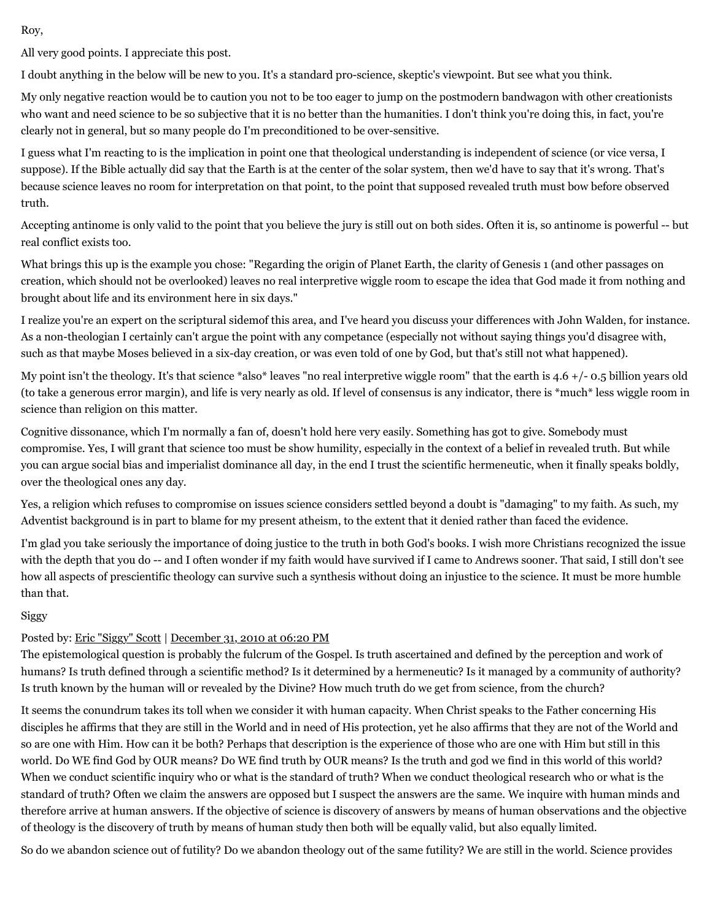Roy,

All very good points. I appreciate this post.

I doubt anything in the below will be new to you. It's a standard pro-science, skeptic's viewpoint. But see what you think.

My only negative reaction would be to caution you not to be too eager to jump on the postmodern bandwagon with other creationists who want and need science to be so subjective that it is no better than the humanities. I don't think you're doing this, in fact, you're clearly not in general, but so many people do I'm preconditioned to be over-sensitive.

I guess what I'm reacting to is the implication in point one that theological understanding is independent of science (or vice versa, I suppose). If the Bible actually did say that the Earth is at the center of the solar system, then we'd have to say that it's wrong. That's because science leaves no room for interpretation on that point, to the point that supposed revealed truth must bow before observed truth.

Accepting antinome is only valid to the point that you believe the jury is still out on both sides. Often it is, so antinome is powerful -- but real conflict exists too.

What brings this up is the example you chose: "Regarding the origin of Planet Earth, the clarity of Genesis 1 (and other passages on creation, which should not be overlooked) leaves no real interpretive wiggle room to escape the idea that God made it from nothing and brought about life and its environment here in six days."

I realize you're an expert on the scriptural sidemof this area, and I've heard you discuss your differences with John Walden, for instance. As a non-theologian I certainly can't argue the point with any competance (especially not without saying things you'd disagree with, such as that maybe Moses believed in a six-day creation, or was even told of one by God, but that's still not what happened).

My point isn't the theology. It's that science \*also\* leaves "no real interpretive wiggle room" that the earth is 4.6 +/- 0.5 billion years old (to take a generous error margin), and life is very nearly as old. If level of consensus is any indicator, there is \*much\* less wiggle room in science than religion on this matter.

Cognitive dissonance, which I'm normally a fan of, doesn't hold here very easily. Something has got to give. Somebody must compromise. Yes, I will grant that science too must be show humility, especially in the context of a belief in revealed truth. But while you can argue social bias and imperialist dominance all day, in the end I trust the scientific hermeneutic, when it finally speaks boldly, over the theological ones any day.

Yes, a religion which refuses to compromise on issues science considers settled beyond a doubt is "damaging" to my faith. As such, my Adventist background is in part to blame for my present atheism, to the extent that it denied rather than faced the evidence.

I'm glad you take seriously the importance of doing justice to the truth in both God's books. I wish more Christians recognized the issue with the depth that you do -- and I often wonder if my faith would have survived if I came to Andrews sooner. That said, I still don't see how all aspects of prescientific theology can survive such a synthesis without doing an injustice to the science. It must be more humble than that.

#### Siggy

# Posted by: [Eric "Siggy" Scott](http://web.archive.org/web/20120713022919/http://whitesocksai.blogspot.com/) | [December 31, 2010 at 06:20 PM](http://web.archive.org/web/20120713022919/http://www.memorymeaningfaith.org/blog/2010/08/highercritical-thinking-part-v.html?cid=6a01287656f488970c0148c7355864970c#comment-6a01287656f488970c0148c7355864970c)

The epistemological question is probably the fulcrum of the Gospel. Is truth ascertained and defined by the perception and work of humans? Is truth defined through a scientific method? Is it determined by a hermeneutic? Is it managed by a community of authority? Is truth known by the human will or revealed by the Divine? How much truth do we get from science, from the church?

It seems the conundrum takes its toll when we consider it with human capacity. When Christ speaks to the Father concerning His disciples he affirms that they are still in the World and in need of His protection, yet he also affirms that they are not of the World and so are one with Him. How can it be both? Perhaps that description is the experience of those who are one with Him but still in this world. Do WE find God by OUR means? Do WE find truth by OUR means? Is the truth and god we find in this world of this world? When we conduct scientific inquiry who or what is the standard of truth? When we conduct theological research who or what is the standard of truth? Often we claim the answers are opposed but I suspect the answers are the same. We inquire with human minds and therefore arrive at human answers. If the objective of science is discovery of answers by means of human observations and the objective of theology is the discovery of truth by means of human study then both will be equally valid, but also equally limited.

So do we abandon science out of futility? Do we abandon theology out of the same futility? We are still in the world. Science provides